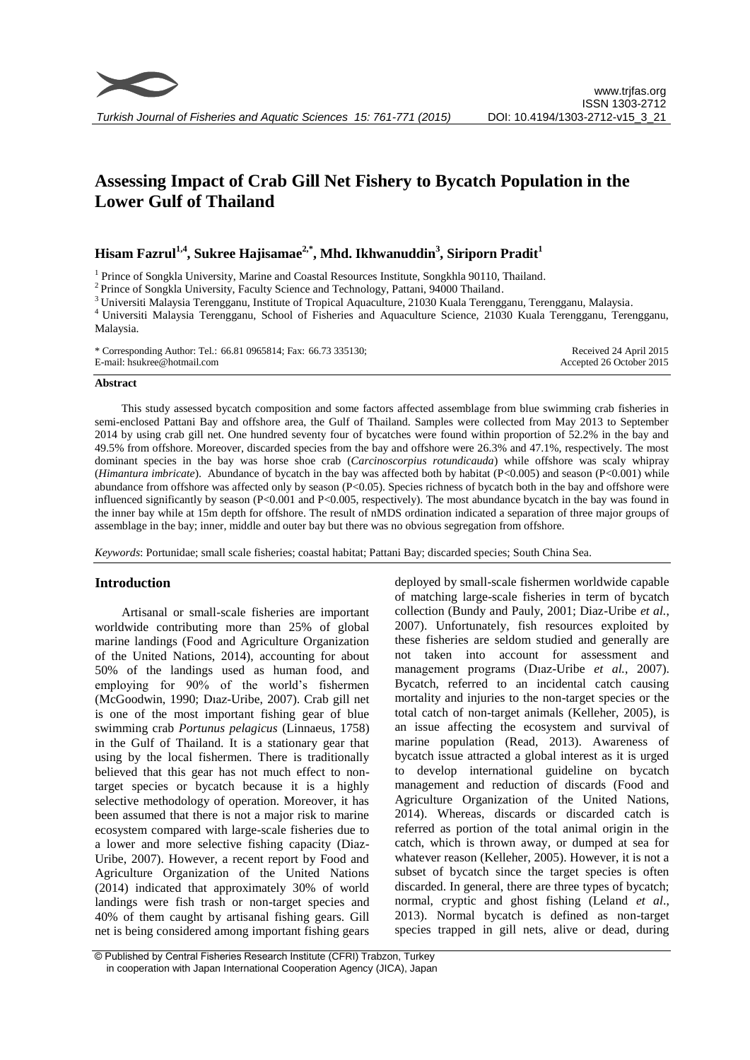

# **Assessing Impact of Crab Gill Net Fishery to Bycatch Population in the Lower Gulf of Thailand**

# **Hisam Fazrul1,4, Sukree Hajisamae2,\*, Mhd. Ikhwanuddin<sup>3</sup> , Siriporn Pradit<sup>1</sup>**

<sup>1</sup> Prince of Songkla University, Marine and Coastal Resources Institute, Songkhla 90110, Thailand.

<sup>2</sup> Prince of Songkla University, Faculty Science and Technology, Pattani, 94000 Thailand.

<sup>3</sup> Universiti Malaysia Terengganu, Institute of Tropical Aquaculture, 21030 Kuala Terengganu, Terengganu, Malaysia.

<sup>4</sup>Universiti Malaysia Terengganu, School of Fisheries and Aquaculture Science, 21030 Kuala Terengganu, Terengganu, Malaysia.

| * Corresponding Author: Tel.: 66.81 0965814; Fax: 66.73 335130; | Received 24 April 2015   |
|-----------------------------------------------------------------|--------------------------|
| E-mail: hsukree@hotmail.com                                     | Accepted 26 October 2015 |

# **Abstract**

This study assessed bycatch composition and some factors affected assemblage from blue swimming crab fisheries in semi-enclosed Pattani Bay and offshore area, the Gulf of Thailand. Samples were collected from May 2013 to September 2014 by using crab gill net. One hundred seventy four of bycatches were found within proportion of 52.2% in the bay and 49.5% from offshore. Moreover, discarded species from the bay and offshore were 26.3% and 47.1%, respectively. The most dominant species in the bay was horse shoe crab (*Carcinoscorpius rotundicauda*) while offshore was scaly whipray (*Himantura imbricate*). Abundance of bycatch in the bay was affected both by habitat (P<0.005) and season (P<0.001) while abundance from offshore was affected only by season (P<0.05). Species richness of bycatch both in the bay and offshore were influenced significantly by season (P<0.001 and P<0.005, respectively). The most abundance bycatch in the bay was found in the inner bay while at 15m depth for offshore. The result of nMDS ordination indicated a separation of three major groups of assemblage in the bay; inner, middle and outer bay but there was no obvious segregation from offshore.

*Keywords*: Portunidae; small scale fisheries; coastal habitat; Pattani Bay; discarded species; South China Sea.

# **Introduction**

Artisanal or small-scale fisheries are important worldwide contributing more than 25% of global marine landings (Food and Agriculture Organization of the United Nations, 2014), accounting for about 50% of the landings used as human food, and employing for 90% of the world's fishermen (McGoodwin, 1990; Dıaz-Uribe, 2007). Crab gill net is one of the most important fishing gear of blue swimming crab *Portunus pelagicus* (Linnaeus, 1758) in the Gulf of Thailand. It is a stationary gear that using by the local fishermen. There is traditionally believed that this gear has not much effect to nontarget species or bycatch because it is a highly selective methodology of operation. Moreover, it has been assumed that there is not a major risk to marine ecosystem compared with large-scale fisheries due to a lower and more selective fishing capacity (Diaz-Uribe, 2007). However, a recent report by Food and Agriculture Organization of the United Nations (2014) indicated that approximately 30% of world landings were fish trash or non-target species and 40% of them caught by artisanal fishing gears. Gill net is being considered among important fishing gears

deployed by small-scale fishermen worldwide capable of matching large-scale fisheries in term of bycatch collection (Bundy and Pauly, 2001; Diaz-Uribe *et al.*, 2007). Unfortunately, fish resources exploited by these fisheries are seldom studied and generally are not taken into account for assessment and management programs (Dıaz-Uribe *et al.*, 2007). Bycatch, referred to an incidental catch causing mortality and injuries to the non-target species or the total catch of non-target animals (Kelleher, 2005), is an issue affecting the ecosystem and survival of marine population (Read, 2013). Awareness of bycatch issue attracted a global interest as it is urged to develop international guideline on bycatch management and reduction of discards (Food and Agriculture Organization of the United Nations, 2014). Whereas, discards or discarded catch is referred as portion of the total animal origin in the catch, which is thrown away, or dumped at sea for whatever reason (Kelleher, 2005). However, it is not a subset of bycatch since the target species is often discarded. In general, there are three types of bycatch; normal, cryptic and ghost fishing (Leland *et al*., 2013). Normal bycatch is defined as non-target species trapped in gill nets, alive or dead, during

<sup>©</sup> Published by Central Fisheries Research Institute (CFRI) Trabzon, Turkey in cooperation with Japan International Cooperation Agency (JICA), Japan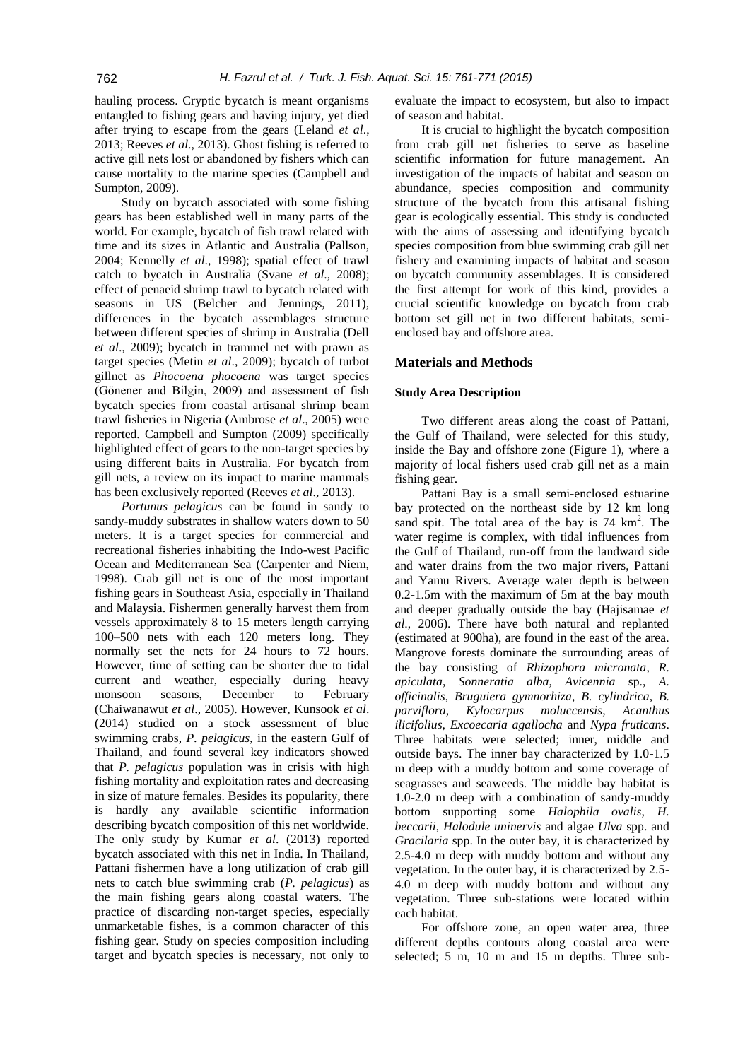hauling process. Cryptic bycatch is meant organisms entangled to fishing gears and having injury, yet died after trying to escape from the gears (Leland *et al*., 2013; Reeves *et al*., 2013). Ghost fishing is referred to active gill nets lost or abandoned by fishers which can cause mortality to the marine species (Campbell and Sumpton, 2009).

Study on bycatch associated with some fishing gears has been established well in many parts of the world. For example, bycatch of fish trawl related with time and its sizes in Atlantic and Australia (Pallson, 2004; Kennelly *et al*., 1998); spatial effect of trawl catch to bycatch in Australia (Svane *et al*., 2008); effect of penaeid shrimp trawl to bycatch related with seasons in US (Belcher and Jennings, 2011), differences in the bycatch assemblages structure between different species of shrimp in Australia (Dell *et al*., 2009); bycatch in trammel net with prawn as target species (Metin *et al*., 2009); bycatch of turbot gillnet as *Phocoena phocoena* was target species (Gönener and Bilgin, 2009) and assessment of fish bycatch species from coastal artisanal shrimp beam trawl fisheries in Nigeria (Ambrose *et al*., 2005) were reported. Campbell and Sumpton (2009) specifically highlighted effect of gears to the non-target species by using different baits in Australia. For bycatch from gill nets, a review on its impact to marine mammals has been exclusively reported (Reeves *et al*., 2013).

*Portunus pelagicus* can be found in sandy to sandy-muddy substrates in shallow waters down to 50 meters. It is a target species for commercial and recreational fisheries inhabiting the Indo-west Pacific Ocean and Mediterranean Sea (Carpenter and Niem, 1998). Crab gill net is one of the most important fishing gears in Southeast Asia, especially in Thailand and Malaysia. Fishermen generally harvest them from vessels approximately 8 to 15 meters length carrying 100–500 nets with each 120 meters long. They normally set the nets for 24 hours to 72 hours. However, time of setting can be shorter due to tidal current and weather, especially during heavy monsoon seasons, December to February (Chaiwanawut *et al*., 2005). However, Kunsook *et al*. (2014) studied on a stock assessment of blue swimming crabs, *P. pelagicus*, in the eastern Gulf of Thailand, and found several key indicators showed that *P. pelagicus* population was in crisis with high fishing mortality and exploitation rates and decreasing in size of mature females. Besides its popularity, there is hardly any available scientific information describing bycatch composition of this net worldwide. The only study by Kumar *et al*. (2013) reported bycatch associated with this net in India. In Thailand, Pattani fishermen have a long utilization of crab gill nets to catch blue swimming crab (*P. pelagicus*) as the main fishing gears along coastal waters. The practice of discarding non-target species, especially unmarketable fishes, is a common character of this fishing gear. Study on species composition including target and bycatch species is necessary, not only to evaluate the impact to ecosystem, but also to impact of season and habitat.

It is crucial to highlight the bycatch composition from crab gill net fisheries to serve as baseline scientific information for future management. An investigation of the impacts of habitat and season on abundance, species composition and community structure of the bycatch from this artisanal fishing gear is ecologically essential. This study is conducted with the aims of assessing and identifying bycatch species composition from blue swimming crab gill net fishery and examining impacts of habitat and season on bycatch community assemblages. It is considered the first attempt for work of this kind, provides a crucial scientific knowledge on bycatch from crab bottom set gill net in two different habitats, semienclosed bay and offshore area.

# **Materials and Methods**

#### **Study Area Description**

Two different areas along the coast of Pattani, the Gulf of Thailand, were selected for this study, inside the Bay and offshore zone (Figure 1), where a majority of local fishers used crab gill net as a main fishing gear.

Pattani Bay is a small semi-enclosed estuarine bay protected on the northeast side by 12 km long sand spit. The total area of the bay is 74 km<sup>2</sup>. The water regime is complex, with tidal influences from the Gulf of Thailand, run-off from the landward side and water drains from the two major rivers, Pattani and Yamu Rivers. Average water depth is between 0.2-1.5m with the maximum of 5m at the bay mouth and deeper gradually outside the bay (Hajisamae *et al*., 2006). There have both natural and replanted (estimated at 900ha), are found in the east of the area. Mangrove forests dominate the surrounding areas of the bay consisting of *Rhizophora micronata*, *R. apiculata*, *Sonneratia alba*, *Avicennia* sp., *A. officinalis*, *Bruguiera gymnorhiza*, *B. cylindrica*, *B. parviflora*, *Kylocarpus moluccensis*, *Acanthus ilicifolius*, *Excoecaria agallocha* and *Nypa fruticans*. Three habitats were selected; inner, middle and outside bays. The inner bay characterized by 1.0-1.5 m deep with a muddy bottom and some coverage of seagrasses and seaweeds. The middle bay habitat is 1.0-2.0 m deep with a combination of sandy-muddy bottom supporting some *Halophila ovalis*, *H. beccarii*, *Halodule uninervis* and algae *Ulva* spp. and *Gracilaria* spp. In the outer bay, it is characterized by 2.5-4.0 m deep with muddy bottom and without any vegetation. In the outer bay, it is characterized by 2.5- 4.0 m deep with muddy bottom and without any vegetation. Three sub-stations were located within each habitat.

For offshore zone, an open water area, three different depths contours along coastal area were selected; 5 m, 10 m and 15 m depths. Three sub-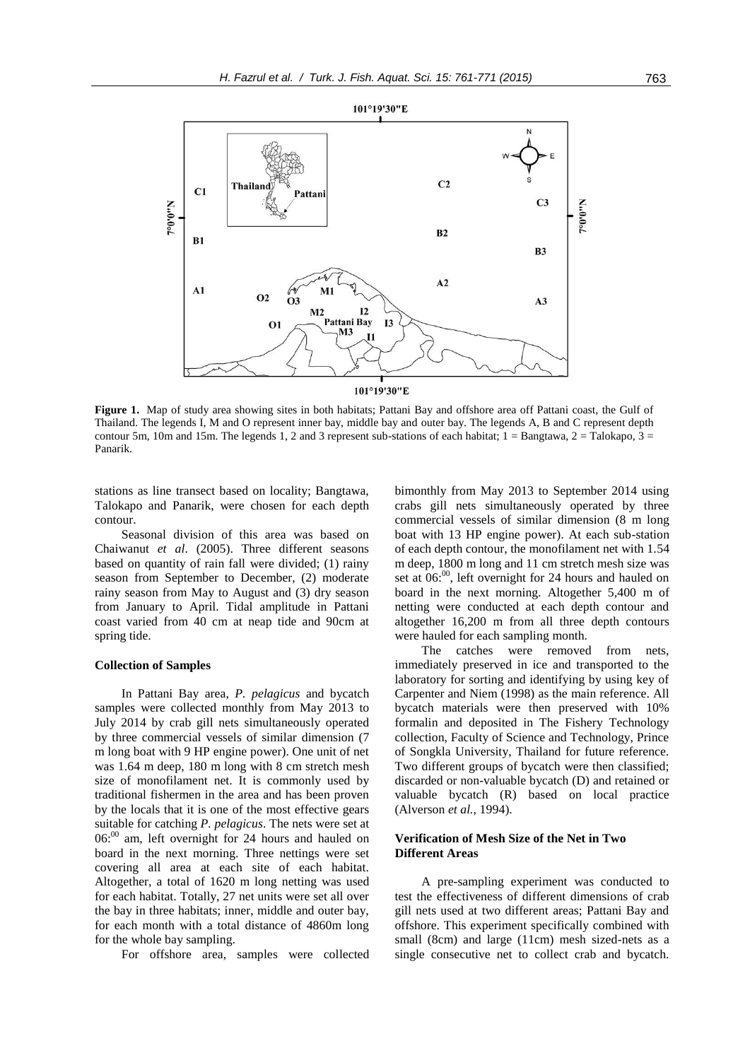

**Figure 1.** Map of study area showing sites in both habitats; Pattani Bay and offshore area off Pattani coast, the Gulf of Thailand. The legends I, M and O represent inner bay, middle bay and outer bay. The legends A, B and C represent depth contour 5m, 10m and 15m. The legends 1, 2 and 3 represent sub-stations of each habitat;  $1 =$  Bangtawa,  $2 =$  Talokapo,  $3 =$ Panarik.

stations as line transect based on locality; Bangtawa, Talokapo and Panarik, were chosen for each depth contour.

Seasonal division of this area was based on Chaiwanut *et al*. (2005). Three different seasons based on quantity of rain fall were divided; (1) rainy season from September to December, (2) moderate rainy season from May to August and (3) dry season from January to April. Tidal amplitude in Pattani coast varied from 40 cm at neap tide and 90cm at spring tide.

#### **Collection of Samples**

In Pattani Bay area, *P. pelagicus* and bycatch samples were collected monthly from May 2013 to July 2014 by crab gill nets simultaneously operated by three commercial vessels of similar dimension (7 m long boat with 9 HP engine power). One unit of net was 1.64 m deep, 180 m long with 8 cm stretch mesh size of monofilament net. It is commonly used by traditional fishermen in the area and has been proven by the locals that it is one of the most effective gears suitable for catching *P. pelagicus*. The nets were set at 06:<sup>00</sup> am, left overnight for 24 hours and hauled on board in the next morning. Three nettings were set covering all area at each site of each habitat. Altogether, a total of 1620 m long netting was used for each habitat. Totally, 27 net units were set all over the bay in three habitats; inner, middle and outer bay, for each month with a total distance of 4860m long for the whole bay sampling.

For offshore area, samples were collected

bimonthly from May 2013 to September 2014 using crabs gill nets simultaneously operated by three commercial vessels of similar dimension (8 m long boat with 13 HP engine power). At each sub-station of each depth contour, the monofilament net with 1.54 m deep, 1800 m long and 11 cm stretch mesh size was set at  $06$ <sup>:00</sup>, left overnight for 24 hours and hauled on board in the next morning. Altogether 5,400 m of netting were conducted at each depth contour and altogether 16,200 m from all three depth contours were hauled for each sampling month.

The catches were removed from nets, immediately preserved in ice and transported to the laboratory for sorting and identifying by using key of Carpenter and Niem (1998) as the main reference. All bycatch materials were then preserved with 10% formalin and deposited in The Fishery Technology collection, Faculty of Science and Technology, Prince of Songkla University, Thailand for future reference. Two different groups of bycatch were then classified; discarded or non-valuable bycatch (D) and retained or valuable bycatch (R) based on local practice (Alverson *et al.*, 1994).

# **Verification of Mesh Size of the Net in Two Different Areas**

A pre-sampling experiment was conducted to test the effectiveness of different dimensions of crab gill nets used at two different areas; Pattani Bay and offshore. This experiment specifically combined with small (8cm) and large (11cm) mesh sized-nets as a single consecutive net to collect crab and bycatch.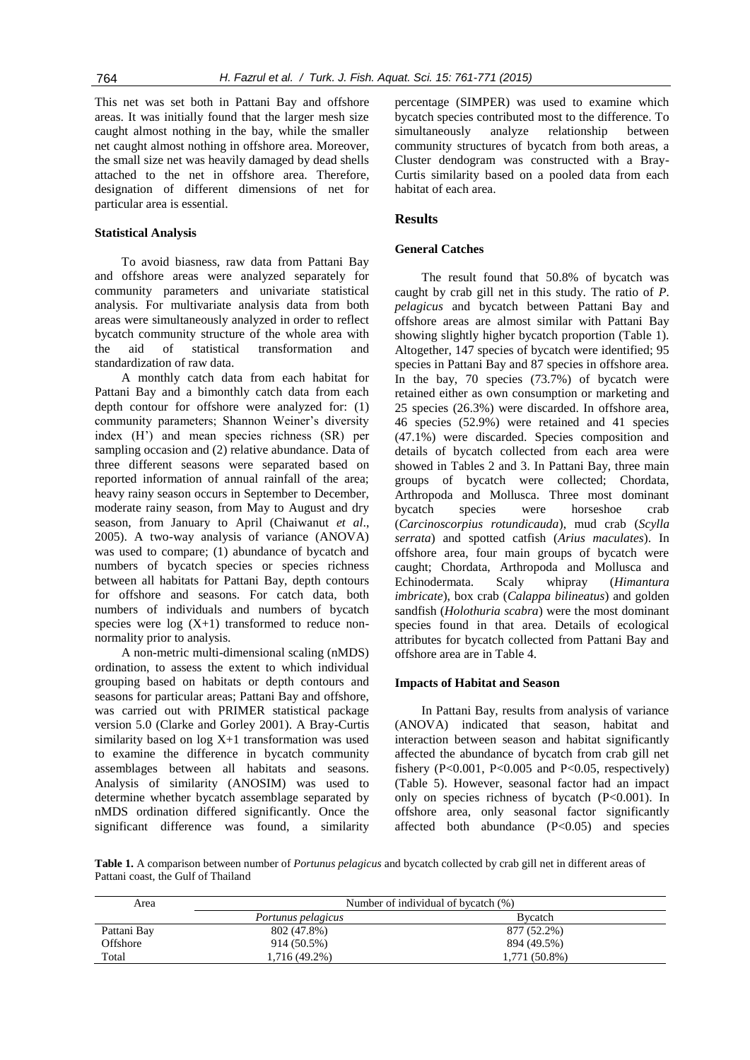This net was set both in Pattani Bay and offshore areas. It was initially found that the larger mesh size caught almost nothing in the bay, while the smaller net caught almost nothing in offshore area. Moreover, the small size net was heavily damaged by dead shells attached to the net in offshore area. Therefore, designation of different dimensions of net for particular area is essential.

#### **Statistical Analysis**

To avoid biasness, raw data from Pattani Bay and offshore areas were analyzed separately for community parameters and univariate statistical analysis. For multivariate analysis data from both areas were simultaneously analyzed in order to reflect bycatch community structure of the whole area with the aid of statistical transformation and standardization of raw data.

A monthly catch data from each habitat for Pattani Bay and a bimonthly catch data from each depth contour for offshore were analyzed for: (1) community parameters; Shannon Weiner's diversity index (H') and mean species richness (SR) per sampling occasion and (2) relative abundance. Data of three different seasons were separated based on reported information of annual rainfall of the area; heavy rainy season occurs in September to December, moderate rainy season, from May to August and dry season, from January to April (Chaiwanut *et al*., 2005). A two-way analysis of variance (ANOVA) was used to compare; (1) abundance of bycatch and numbers of bycatch species or species richness between all habitats for Pattani Bay, depth contours for offshore and seasons. For catch data, both numbers of individuals and numbers of bycatch species were  $log(X+1)$  transformed to reduce nonnormality prior to analysis.

A non-metric multi-dimensional scaling (nMDS) ordination, to assess the extent to which individual grouping based on habitats or depth contours and seasons for particular areas; Pattani Bay and offshore, was carried out with PRIMER statistical package version 5.0 (Clarke and Gorley 2001). A Bray-Curtis similarity based on log X+1 transformation was used to examine the difference in bycatch community assemblages between all habitats and seasons. Analysis of similarity (ANOSIM) was used to determine whether bycatch assemblage separated by nMDS ordination differed significantly. Once the significant difference was found, a similarity

percentage (SIMPER) was used to examine which bycatch species contributed most to the difference. To simultaneously analyze relationship between community structures of bycatch from both areas, a Cluster dendogram was constructed with a Bray-Curtis similarity based on a pooled data from each habitat of each area.

# **Results**

# **General Catches**

The result found that 50.8% of bycatch was caught by crab gill net in this study. The ratio of *P. pelagicus* and bycatch between Pattani Bay and offshore areas are almost similar with Pattani Bay showing slightly higher bycatch proportion (Table 1). Altogether, 147 species of bycatch were identified; 95 species in Pattani Bay and 87 species in offshore area. In the bay, 70 species (73.7%) of bycatch were retained either as own consumption or marketing and 25 species (26.3%) were discarded. In offshore area, 46 species (52.9%) were retained and 41 species (47.1%) were discarded. Species composition and details of bycatch collected from each area were showed in Tables 2 and 3. In Pattani Bay, three main groups of bycatch were collected; Chordata, Arthropoda and Mollusca. Three most dominant bycatch species were horseshoe crab (*Carcinoscorpius rotundicauda*), mud crab (*Scylla serrata*) and spotted catfish (*Arius maculates*). In offshore area, four main groups of bycatch were caught; Chordata, Arthropoda and Mollusca and Echinodermata. Scaly whipray (*Himantura imbricate*), box crab (*Calappa bilineatus*) and golden sandfish (*Holothuria scabra*) were the most dominant species found in that area. Details of ecological attributes for bycatch collected from Pattani Bay and offshore area are in Table 4.

#### **Impacts of Habitat and Season**

In Pattani Bay, results from analysis of variance (ANOVA) indicated that season, habitat and interaction between season and habitat significantly affected the abundance of bycatch from crab gill net fishery (P<0.001, P<0.005 and P<0.05, respectively) (Table 5). However, seasonal factor had an impact only on species richness of bycatch (P<0.001). In offshore area, only seasonal factor significantly affected both abundance  $(P<0.05)$  and species

**Table 1.** A comparison between number of *Portunus pelagicus* and bycatch collected by crab gill net in different areas of Pattani coast, the Gulf of Thailand

| Area        | Number of individual of bycatch (%) |               |  |  |
|-------------|-------------------------------------|---------------|--|--|
|             | Portunus pelagicus                  | Bycatch       |  |  |
| Pattani Bay | 802 (47.8%)                         | 877 (52.2%)   |  |  |
| Offshore    | 914 (50.5%)                         | 894 (49.5%)   |  |  |
| Total       | 1,716 (49.2%)                       | 1,771 (50.8%) |  |  |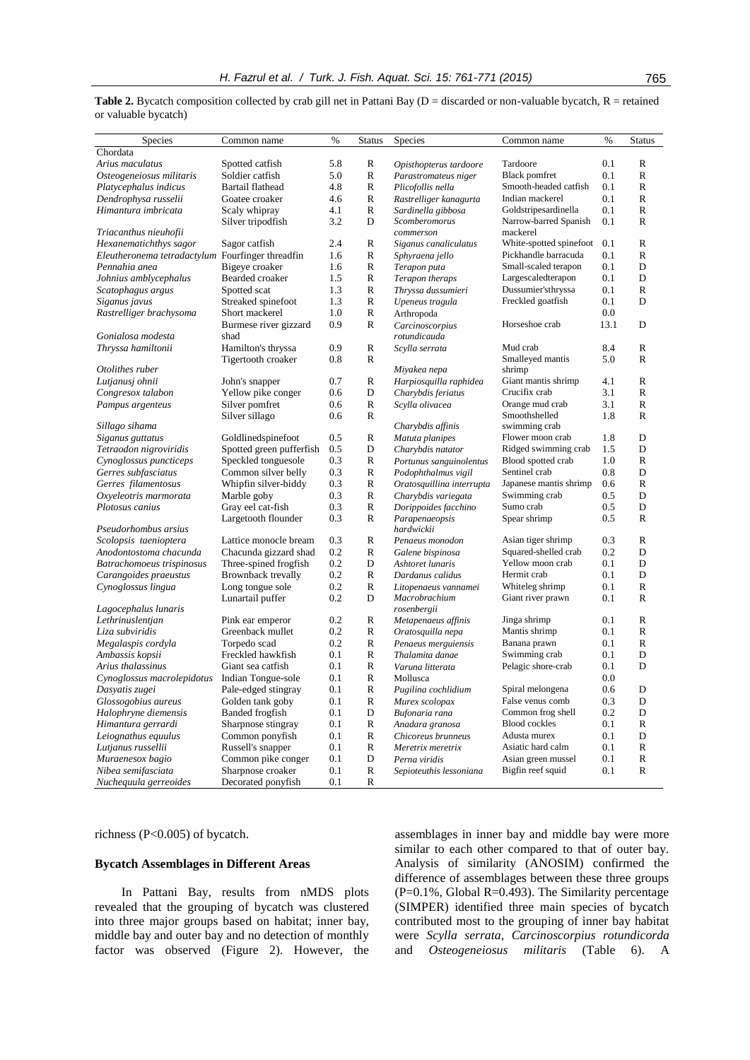Species Common name % Status Species Common name % Status **Chordata** *Arius maculatus* Spotted catfish 5.8 R *Opisthopterus tardoore* Tardoore 0.1 R *Osteogeneiosus militaris* Soldier catfish 5.0 R *Parastromateus niger* Black pomfret 0.1 R *Platycephalus indicus* Bartail flathead 4.8 R *Plicofollis nella* Smooth-headed catfish 0.1 R *Dendrophysa russelii* Goatee croaker 4.6 R *Rastrelliger kanagurta* Indian mackerel 0.1 R *Himantura imbricata* Scaly whipray 4.1 R *Sardinella gibbosa* Goldstripesardinella 0.1 R *Triacanthus nieuhofii* Silver tripodfish 3.2 D *Scomberomorus commerson* Narrow-barred Spanish mackerel 0.1 R *Hexanematichthys sagor* Sagor catfish 2.4 R *Siganus canaliculatus* White-spotted spinefoot 0.1 R<br>*Eleutheronema tetradactylum* Fourfinger threadfin 1.6 R *Sphyraena jello* Pickhandle barracuda 0.1 R *Eleutheronema tetradactylum* Fourfinger threadfin 1.6 R *Sphyraena jello* Pickhandle barracuda 0.1 R *Pennahia anea* Bigeye croaker 1.6 R *Terapon puta* Small-scaled terapon 0.1 D *Johnius amblycephalus* Bearded croaker 1.5 R *Terapon theraps* Largescaledterapon 0.1 D *Scatophagus argus* Spotted scat 1.3 R *Thryssa dussumieri* Dussumier'sthryssa 0.1 R *Siganus javus* Streaked spinefoot 1.3 R *Upeneus tragula* Freckled goatfish 0.1 D *Rastrelliger brachysoma* Short mackerel 1.0 R Arthropoda 0.0 *Gonialosa modesta* Burmese river gizzard shad 0.9 R *Carcinoscorpius rotundicauda* Horseshoe crab 13.1 D *Thryssa hamiltonii* Hamilton's thryssa 0.9 R *Scylla serrata* Mud crab 8.4 R *Otolithes ruber* Tigertooth croaker 0.8 R *Miyakea nepa* Smalleyed mantis shrimp<br>Giant mantis shrimp 5.0 R *Lutjanusj ohnii* John's snapper 0.7 R *Harpiosquilla raphidea* Giant mantis shrimp 4.1 R *Congresox talabon* Yellow pike conger 0.6 D *Charybdis feriatus* Crucifix crab 3.1 R *Pampus argenteus* Silver pomfret 0.6 R *Scylla olivacea* Orange mud crab 3.1 R *Sillago sihama* Silver sillago 0.6 R *Charybdis affinis* Smoothshelled swimming crab 1.8 R *Siganus guttatus* Goldlinedspinefoot 0.5 R *Matuta planipes* Flower moon crab 1.8 D *Tetraodon nigroviridis* Spotted green pufferfish 0.5 D *Charybdis natator* Ridged swimming crab 1.5 D *Cynoglossus puncticeps* Speckled tonguesole 0.3 R *Portunus sanguinolentus* Blood spotted crab 1.0 R *Gerres subfasciatus* Common silver belly 0.3 R *Podophthalmus vigil* Sentinel crab 0.8 D *Gerres filamentosus* Whipfin silver-biddy 0.3 R *Oratosquillina interrupta* Japanese mantis shrimp 0.6 R *Oxyeleotris marmorata* Marble goby 0.3 R *Charybdis variegata* Swimming crab 0.5 D *Plotosus canius* Gray eel cat-fish 0.3 R *Dorippoides facchino* Sumo crab 0.5 D *Pseudorhombus arsius* Largetooth flounder *hardwickii* Spear shrimp *Scolopsis taenioptera* Lattice monocle bream 0.3 R *Penaeus monodon* Asian tiger shrimp 0.3 R *Anodontostoma chacunda* Chacunda gizzard shad 0.2 R *Galene bispinosa Batrachomoeus trispinosus* Three-spined frogfish 0.2 D *Ashtoret lunaris* Yellow moon crab 0.1 D *Carangoides praeustus* Brownback trevally 0.2 R *Dardanus calidus* Hermit crab 0.1 D *Citopenaeus vannamei*<br>*Macrobrachium Lagocephalus lunaris* Lunartail puffer **0.2** D *rosenbergii* Giant river prawn 0.1 R *Lethrinuslentjan* Pink ear emperor 0.2 R *Metapenaeus affinis* Jinga shrimp 0.1 R *Liza subviridis* Greenback mullet  $0.2$  R *Oratosquilla nepa* Mantis shrimp 0.1 R<br> *Megalaspis cordyla* Torpedo scad  $0.2$  R *Penaeus merguiensis* Banana prawn 0.1 R *Megalaspis cordyla* Torpedo scad 0.2 R *Penaeus merguiensis* Banana prawn 0.1 R *Ambassis kopsii* Freckled hawkfish 0.1 R *Thalamita danae* Swimming crab 0.1 D *Arius thalassinus* Giant sea catfish 0.1 R *Varuna litterata* Pelagic shore-crab 0.1 D *Cynoglossus macrolepidotus* Indian Tongue-sole 0.1 R Mollusca 0.0 *Dasyatis zugei* Pale-edged stingray 0.1 R *Pugilina cochlidium* Spiral melongena 0.6 D *Glossogobius aureus* Golden tank goby 0.1 R *Murex scolopax* False venus comb 0.3 D *Halophryne diemensis* Banded frogfish 0.1 D *Bufonaria rana* Common frog shell 0.2 D *Himantura gerrardi* Sharpnose stingray 0.1 R *Anadara granosa* Blood cockles 0.1 R *Leiognathus equulus* Common ponyfish 0.1 R *Chicoreus brunneus Lutjanus russellii* Russell's snapper 0.1 R *Meretrix meretrix* Asiatic hard calm 0.1 R *Muraenesox bagio* Common pike conger 0.1 D *Perna viridis* Asian green mussel 0.1 R *Nibea semifasciata* Sharpnose croaker 0.1 R *Sepioteuthis lessoniana* Bigfin reef squid 0.1 R *Nuchequula gerreoides* Decorated ponyfish 0.1 R

**Table 2.** Bycatch composition collected by crab gill net in Pattani Bay ( $D =$  discarded or non-valuable bycatch,  $R =$  retained or valuable bycatch)

richness (P<0.005) of bycatch.

# **Bycatch Assemblages in Different Areas**

In Pattani Bay, results from nMDS plots revealed that the grouping of bycatch was clustered into three major groups based on habitat; inner bay, middle bay and outer bay and no detection of monthly factor was observed (Figure 2). However, the

assemblages in inner bay and middle bay were more similar to each other compared to that of outer bay. Analysis of similarity (ANOSIM) confirmed the difference of assemblages between these three groups  $(P=0.1\%$ , Global R=0.493). The Similarity percentage (SIMPER) identified three main species of bycatch contributed most to the grouping of inner bay habitat were *Scylla serrata*, *Carcinoscorpius rotundicorda* and *Osteogeneiosus militaris* (Table 6). A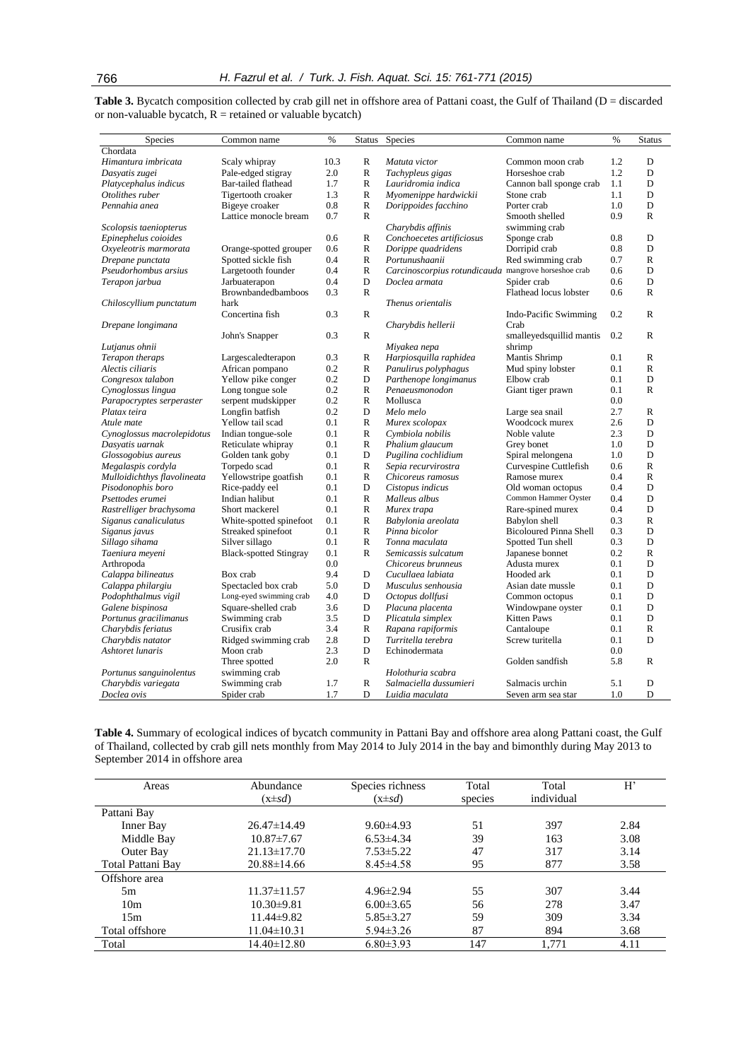|                                          |                               | $\%$ |                             |                                                      |                               |     |               |
|------------------------------------------|-------------------------------|------|-----------------------------|------------------------------------------------------|-------------------------------|-----|---------------|
| Species                                  | Common name                   |      | <b>Status</b>               | Species                                              | Common name                   | %   | <b>Status</b> |
| Chordata                                 |                               | 10.3 |                             |                                                      |                               | 1.2 | D             |
| Himantura imbricata                      | Scaly whipray                 | 2.0  | $\mathbb R$<br>$\mathbb{R}$ | Matuta victor                                        | Common moon crab              | 1.2 | D             |
| Dasyatis zugei                           | Pale-edged stigray            | 1.7  | $\mathbb{R}$                | Tachypleus gigas                                     | Horseshoe crab                | 1.1 | D             |
| Platycephalus indicus<br>Otolithes ruber | Bar-tailed flathead           | 1.3  | $\mathbb{R}$                | Lauridromia indica                                   | Cannon ball sponge crab       | 1.1 | D             |
|                                          | Tigertooth croaker            |      |                             | Myomenippe hardwickii                                | Stone crab                    |     |               |
| Pennahia anea                            | Bigeye croaker                | 0.8  | R                           | Dorippoides facchino                                 | Porter crab                   | 1.0 | D             |
|                                          | Lattice monocle bream         | 0.7  | R                           |                                                      | Smooth shelled                | 0.9 | $\mathbb{R}$  |
| Scolopsis taeniopterus                   |                               |      |                             | Charybdis affinis                                    | swimming crab                 |     |               |
| Epinephelus coioides                     |                               | 0.6  | $\mathbb R$                 | Conchoecetes artificiosus                            | Sponge crab                   | 0.8 | D             |
| Oxyeleotris marmorata                    | Orange-spotted grouper        | 0.6  | $\mathbb R$                 | Dorippe quadridens                                   | Dorripid crab                 | 0.8 | D             |
| Drepane punctata                         | Spotted sickle fish           | 0.4  | $\mathbb{R}$                | Portunushaanii                                       | Red swimming crab             | 0.7 | $\mathbb{R}$  |
| Pseudorhombus arsius                     | Largetooth founder            | 0.4  | $\mathbb R$                 | Carcinoscorpius rotundicauda mangrove horseshoe crab |                               | 0.6 | D             |
| Terapon jarbua                           | Jarbuaterapon                 | 0.4  | D                           | Doclea armata                                        | Spider crab                   | 0.6 | D             |
|                                          | Brownbandedbamboos            | 0.3  | $\mathbb{R}$                |                                                      | Flathead locus lobster        | 0.6 | $\mathbb{R}$  |
| Chiloscyllium punctatum                  | hark                          |      |                             | Thenus orientalis                                    |                               |     |               |
|                                          | Concertina fish               | 0.3  | $\mathbb R$                 |                                                      | Indo-Pacific Swimming         | 0.2 | $\mathbb{R}$  |
| Drepane longimana                        |                               |      |                             | Charybdis hellerii                                   | Crab                          |     |               |
|                                          | John's Snapper                | 0.3  | R                           |                                                      | smalleyedsquillid mantis      | 0.2 | $\mathbb{R}$  |
| Lutjanus ohnii                           |                               |      |                             | Miyakea nepa                                         | shrimp                        |     |               |
| Terapon theraps                          | Largescaledterapon            | 0.3  | R                           | Harpiosquilla raphidea                               | Mantis Shrimp                 | 0.1 | $\mathbb{R}$  |
| Alectis ciliaris                         | African pompano               | 0.2  | R                           | Panulirus polyphagus                                 | Mud spiny lobster             | 0.1 | $\mathbb{R}$  |
| Congresox talabon                        | Yellow pike conger            | 0.2  | D                           | Parthenope longimanus                                | Elbow crab                    | 0.1 | D             |
| Cynoglossus lingua                       | Long tongue sole              | 0.2  | $\mathbb R$                 | Penaeusmonodon                                       | Giant tiger prawn             | 0.1 | $\mathbb{R}$  |
| Parapocryptes serperaster                | serpent mudskipper            | 0.2  | $\mathbb{R}$                | Mollusca                                             |                               | 0.0 |               |
| Platax teira                             | Longfin batfish               | 0.2  | D                           | Melo melo                                            | Large sea snail               | 2.7 | $\mathbb R$   |
| Atule mate                               | Yellow tail scad              | 0.1  | R                           | Murex scolopax                                       | Woodcock murex                | 2.6 | D             |
| Cynoglossus macrolepidotus               | Indian tongue-sole            | 0.1  | R                           | Cymbiola nobilis                                     | Noble valute                  | 2.3 | D             |
| Dasyatis uarnak                          | Reticulate whipray            | 0.1  | R                           | Phalium glaucum                                      | Grey bonet                    | 1.0 | D             |
| Glossogobius aureus                      | Golden tank goby              | 0.1  | D                           | Pugilina cochlidium                                  | Spiral melongena              | 1.0 | D             |
| Megalaspis cordyla                       | Torpedo scad                  | 0.1  | $\mathbb R$                 | Sepia recurvirostra                                  | Curvespine Cuttlefish         | 0.6 | $\mathbb R$   |
| Mulloidichthys flavolineata              | Yellowstripe goatfish         | 0.1  | $\mathbb{R}$                | Chicoreus ramosus                                    | Ramose murex                  | 0.4 | $\mathbb{R}$  |
| Pisodonophis boro                        | Rice-paddy eel                | 0.1  | D                           | Cistopus indicus                                     | Old woman octopus             | 0.4 | D             |
| Psettodes erumei                         | Indian halibut                | 0.1  | R                           | Malleus albus                                        | Common Hammer Oyster          | 0.4 | D             |
| Rastrelliger brachysoma                  | Short mackerel                | 0.1  | $\mathbb{R}$                | Murex trapa                                          | Rare-spined murex             | 0.4 | D             |
| Siganus canaliculatus                    | White-spotted spinefoot       | 0.1  | $\mathbb R$                 | Babylonia areolata                                   | Babylon shell                 | 0.3 | $\mathbb{R}$  |
| Siganus javus                            | Streaked spinefoot            | 0.1  | $\mathbb R$                 | Pinna bicolor                                        | <b>Bicoloured Pinna Shell</b> | 0.3 | D             |
| Sillago sihama                           | Silver sillago                | 0.1  | $\mathbb R$                 | Tonna maculata                                       | Spotted Tun shell             | 0.3 | D             |
| Taeniura meyeni                          | <b>Black-spotted Stingray</b> | 0.1  | $\mathsf{R}$                | Semicassis sulcatum                                  | Japanese bonnet               | 0.2 | $\mathbb{R}$  |
| Arthropoda                               |                               | 0.0  |                             | Chicoreus brunneus                                   | Adusta murex                  | 0.1 | D             |
| Calappa bilineatus                       | Box crab                      | 9.4  | D                           | Cucullaea labiata                                    | Hooded ark                    | 0.1 | D             |
| Calappa philargiu                        | Spectacled box crab           | 5.0  | D                           | Musculus senhousia                                   | Asian date mussle             | 0.1 | D             |
| Podophthalmus vigil                      | Long-eyed swimming crab       | 4.0  | D                           | Octopus dollfusi                                     | Common octopus                | 0.1 | D             |
| Galene bispinosa                         | Square-shelled crab           | 3.6  | D                           | Placuna placenta                                     | Windowpane oyster             | 0.1 | D             |
| Portunus gracilimanus                    | Swimming crab                 | 3.5  | D                           | Plicatula simplex                                    | <b>Kitten Paws</b>            | 0.1 | D             |
| Charybdis feriatus                       | Crusifix crab                 | 3.4  | $\mathbb R$                 | Rapana rapiformis                                    | Cantaloupe                    | 0.1 | $\mathbb{R}$  |
| Charybdis natator                        | Ridged swimming crab          | 2.8  | D                           | Turritella terebra                                   | Screw turitella               | 0.1 | D             |
| Ashtoret lunaris                         | Moon crab                     | 2.3  | D                           | Echinodermata                                        |                               | 0.0 |               |
|                                          | Three spotted                 | 2.0  | $\mathbb{R}$                |                                                      | Golden sandfish               | 5.8 | $\mathbb{R}$  |
| Portunus sanguinolentus                  | swimming crab                 |      |                             | Holothuria scabra                                    |                               |     |               |
| Charybdis variegata                      | Swimming crab                 | 1.7  | $\mathbb{R}$                | Salmaciella dussumieri                               | Salmacis urchin               | 5.1 | D             |
| Doclea ovis                              | Spider crab                   | 1.7  | D                           | Luidia maculata                                      | Seven arm sea star            | 1.0 | D             |
|                                          |                               |      |                             |                                                      |                               |     |               |

**Table 3.** Bycatch composition collected by crab gill net in offshore area of Pattani coast, the Gulf of Thailand (D = discarded or non-valuable bycatch,  $R =$  retained or valuable bycatch)

**Table 4.** Summary of ecological indices of bycatch community in Pattani Bay and offshore area along Pattani coast, the Gulf of Thailand, collected by crab gill nets monthly from May 2014 to July 2014 in the bay and bimonthly during May 2013 to September 2014 in offshore area

| Areas             | Abundance         | Species richness | Total   | Total      | H'   |
|-------------------|-------------------|------------------|---------|------------|------|
|                   | $(x \pm sd)$      | $(x \pm sd)$     | species | individual |      |
| Pattani Bay       |                   |                  |         |            |      |
| Inner Bay         | $26.47\pm14.49$   | $9.60 \pm 4.93$  | 51      | 397        | 2.84 |
| Middle Bay        | $10.87 \pm 7.67$  | $6.53\pm4.34$    | 39      | 163        | 3.08 |
| Outer Bay         | $21.13 \pm 17.70$ | $7.53 \pm 5.22$  | 47      | 317        | 3.14 |
| Total Pattani Bay | $20.88 \pm 14.66$ | $8.45 \pm 4.58$  | 95      | 877        | 3.58 |
| Offshore area     |                   |                  |         |            |      |
| 5m                | $11.37 \pm 11.57$ | $4.96 \pm 2.94$  | 55      | 307        | 3.44 |
| 10 <sub>m</sub>   | $10.30\pm9.81$    | $6.00 \pm 3.65$  | 56      | 278        | 3.47 |
| 15m               | $11.44\pm9.82$    | $5.85 \pm 3.27$  | 59      | 309        | 3.34 |
| Total offshore    | $11.04 \pm 10.31$ | $5.94 \pm 3.26$  | 87      | 894        | 3.68 |
| Total             | 14.40±12.80       | $6.80\pm3.93$    | 147     | 1.771      | 4.11 |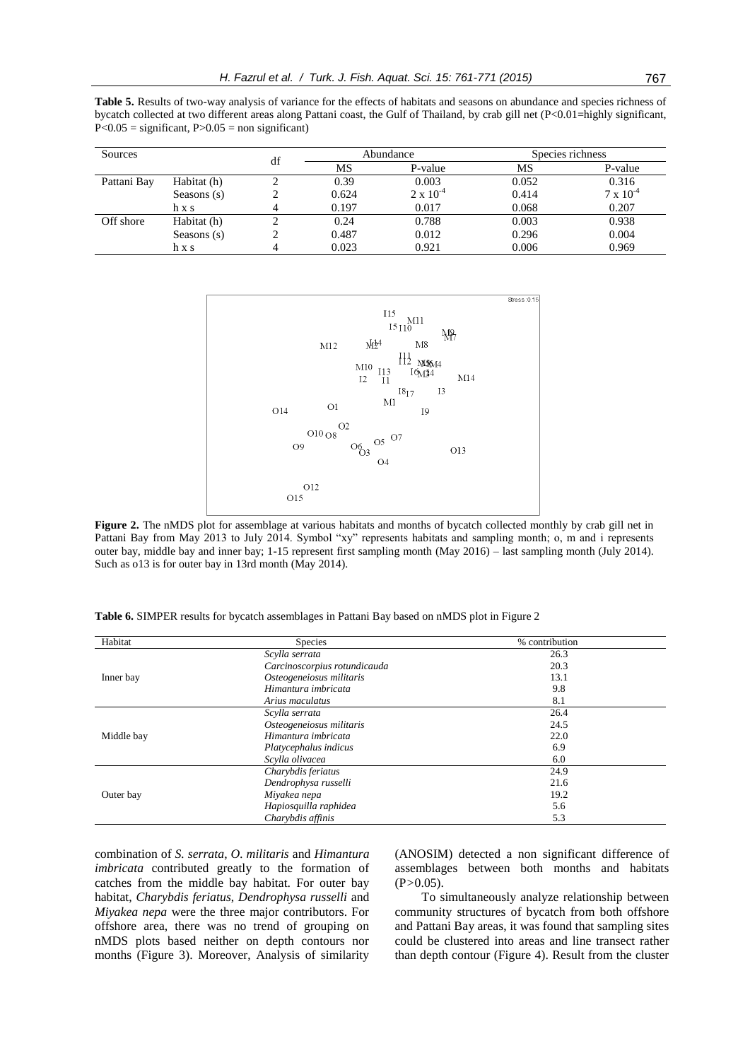**Table 5.** Results of two-way analysis of variance for the effects of habitats and seasons on abundance and species richness of bycatch collected at two different areas along Pattani coast, the Gulf of Thailand, by crab gill net (P<0.01=highly significant,  $P < 0.05$  = significant,  $P > 0.05$  = non significant)

| Sources     |             | df | Abundance |                    | Species richness |                    |
|-------------|-------------|----|-----------|--------------------|------------------|--------------------|
|             |             |    | MS        | P-value            | MS               | P-value            |
| Pattani Bay | Habitat (h) |    | 0.39      | 0.003              | 0.052            | 0.316              |
|             | Seasons (s) |    | 0.624     | $2 \times 10^{-4}$ | 0.414            | $7 \times 10^{-4}$ |
|             | h x s       |    | 0.197     | 0.017              | 0.068            | 0.207              |
| Off shore   | Habitat (h) |    | 0.24      | 0.788              | 0.003            | 0.938              |
|             | Seasons (s) |    | 0.487     | 0.012              | 0.296            | 0.004              |
|             | h x s       |    | 0.023     | 0.921              | 0.006            | 0.969              |



**Figure 2.** The nMDS plot for assemblage at various habitats and months of bycatch collected monthly by crab gill net in Pattani Bay from May 2013 to July 2014. Symbol "xy" represents habitats and sampling month; o, m and i represents outer bay, middle bay and inner bay; 1-15 represent first sampling month (May 2016) – last sampling month (July 2014). Such as o13 is for outer bay in 13rd month (May 2014).

| Habitat    | <b>Species</b>               | % contribution |
|------------|------------------------------|----------------|
|            | Scylla serrata               | 26.3           |
|            | Carcinoscorpius rotundicauda | 20.3           |
| Inner bay  | Osteogeneiosus militaris     | 13.1           |
|            | Himantura imbricata          | 9.8            |
|            | Arius maculatus              | 8.1            |
|            | Scylla serrata               | 26.4           |
|            | Osteogeneiosus militaris     | 24.5           |
| Middle bay | Himantura imbricata          | 22.0           |
|            | Platycephalus indicus        | 6.9            |
|            | Scylla olivacea              | 6.0            |
|            | Charybdis feriatus           | 24.9           |
|            | Dendrophysa russelli         | 21.6           |
| Outer bay  | Miyakea nepa                 | 19.2           |
|            | Hapiosquilla raphidea        | 5.6            |
|            | Charybdis affinis            | 5.3            |

**Table 6.** SIMPER results for bycatch assemblages in Pattani Bay based on nMDS plot in Figure 2

combination of *S. serrata*, *O. militaris* and *Himantura imbricata* contributed greatly to the formation of catches from the middle bay habitat. For outer bay habitat, *Charybdis feriatus*, *Dendrophysa russelli* and *Miyakea nepa* were the three major contributors. For offshore area, there was no trend of grouping on nMDS plots based neither on depth contours nor months (Figure 3). Moreover, Analysis of similarity (ANOSIM) detected a non significant difference of assemblages between both months and habitats (P*>*0.05).

To simultaneously analyze relationship between community structures of bycatch from both offshore and Pattani Bay areas, it was found that sampling sites could be clustered into areas and line transect rather than depth contour (Figure 4). Result from the cluster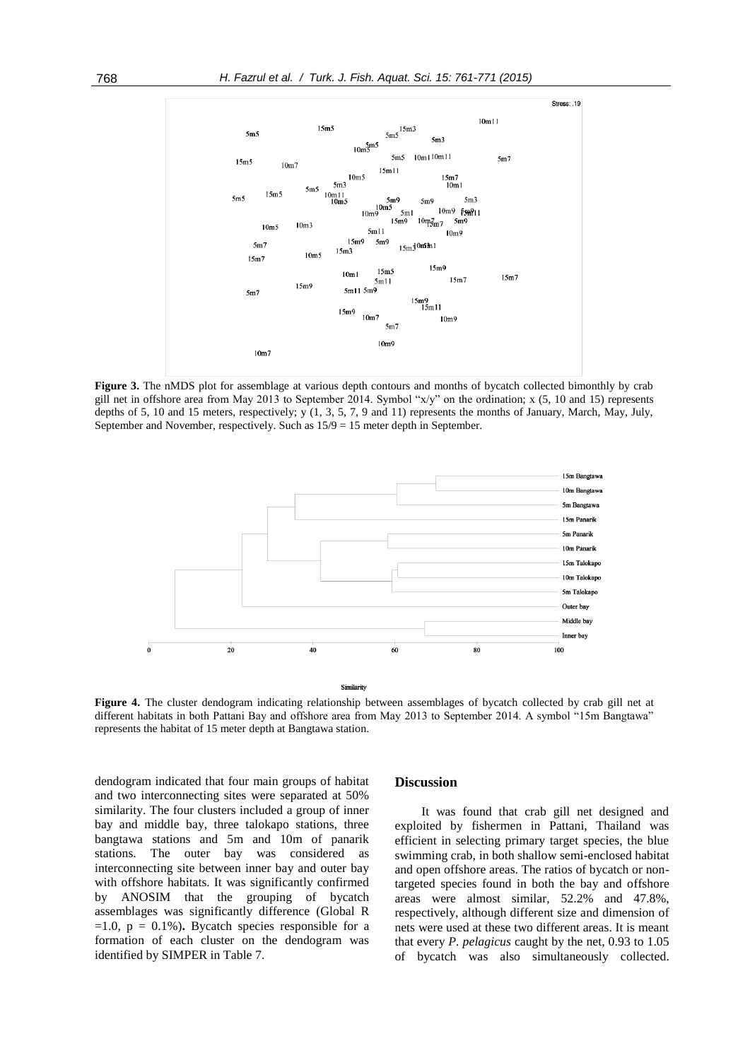

**Figure 3.** The nMDS plot for assemblage at various depth contours and months of bycatch collected bimonthly by crab gill net in offshore area from May 2013 to September 2014. Symbol " $x/y$ " on the ordination; x (5, 10 and 15) represents depths of 5, 10 and 15 meters, respectively; y (1, 3, 5, 7, 9 and 11) represents the months of January, March, May, July, September and November, respectively. Such as  $15/9 = 15$  meter depth in September.



Similarity

**Figure 4.** The cluster dendogram indicating relationship between assemblages of bycatch collected by crab gill net at different habitats in both Pattani Bay and offshore area from May 2013 to September 2014. A symbol "15m Bangtawa" represents the habitat of 15 meter depth at Bangtawa station.

dendogram indicated that four main groups of habitat and two interconnecting sites were separated at 50% similarity. The four clusters included a group of inner bay and middle bay, three talokapo stations, three bangtawa stations and 5m and 10m of panarik stations. The outer bay was considered as interconnecting site between inner bay and outer bay with offshore habitats. It was significantly confirmed by ANOSIM that the grouping of bycatch assemblages was significantly difference (Global R  $=1.0$ ,  $p = 0.1\%$ ). Bycatch species responsible for a formation of each cluster on the dendogram was identified by SIMPER in Table 7.

#### **Discussion**

It was found that crab gill net designed and exploited by fishermen in Pattani, Thailand was efficient in selecting primary target species, the blue swimming crab, in both shallow semi-enclosed habitat and open offshore areas. The ratios of bycatch or nontargeted species found in both the bay and offshore areas were almost similar, 52.2% and 47.8%, respectively, although different size and dimension of nets were used at these two different areas. It is meant that every *P. pelagicus* caught by the net, 0.93 to 1.05 of bycatch was also simultaneously collected.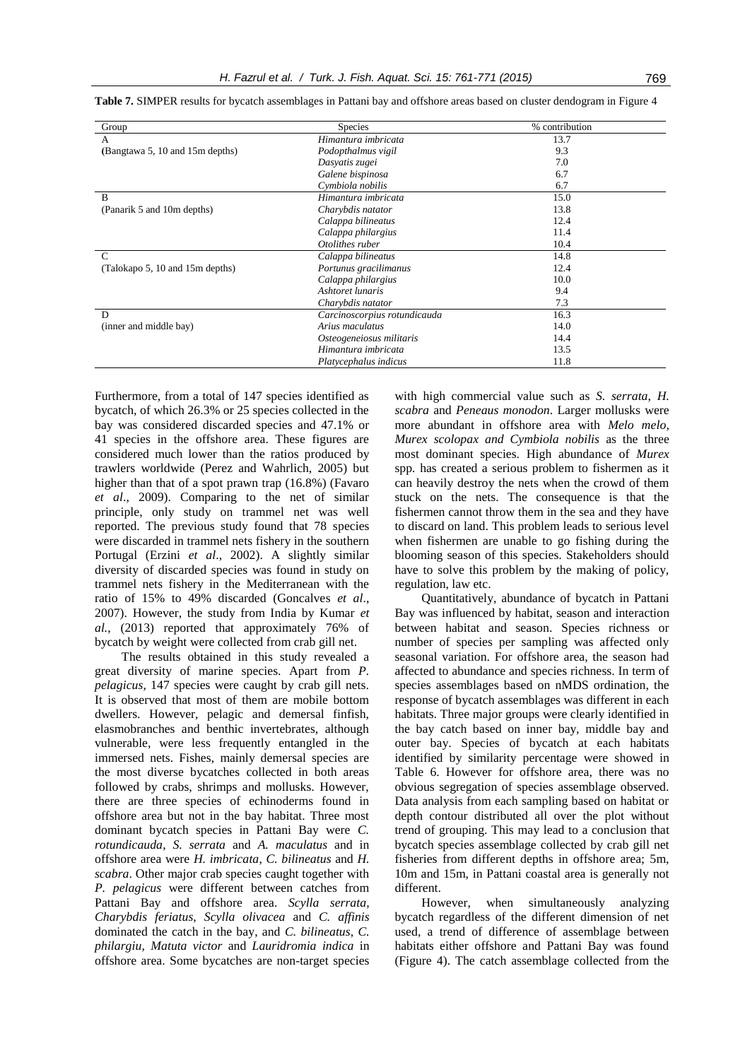| Group                           | Species                      | % contribution |
|---------------------------------|------------------------------|----------------|
| A                               | Himantura imbricata          | 13.7           |
| (Bangtawa 5, 10 and 15m depths) | Podopthalmus vigil           | 9.3            |
|                                 | Dasyatis zugei               | 7.0            |
|                                 | Galene bispinosa             | 6.7            |
|                                 | Cymbiola nobilis             | 6.7            |
| B                               | Himantura imbricata          | 15.0           |
| (Panarik 5 and 10m depths)      | Charybdis natator            | 13.8           |
|                                 | Calappa bilineatus           | 12.4           |
|                                 | Calappa philargius           | 11.4           |
|                                 | Otolithes ruber              | 10.4           |
| $\mathcal{C}$                   | Calappa bilineatus           | 14.8           |
| (Talokapo 5, 10 and 15m depths) | Portunus gracilimanus        | 12.4           |
|                                 | Calappa philargius           | 10.0           |
|                                 | Ashtoret lunaris             | 9.4            |
|                                 | Charybdis natator            | 7.3            |
| D                               | Carcinoscorpius rotundicauda | 16.3           |
| (inner and middle bay)          | Arius maculatus              | 14.0           |
|                                 | Osteogeneiosus militaris     | 14.4           |
|                                 | Himantura imbricata          | 13.5           |
|                                 | Platycephalus indicus        | 11.8           |

**Table 7.** SIMPER results for bycatch assemblages in Pattani bay and offshore areas based on cluster dendogram in Figure 4

Furthermore, from a total of 147 species identified as bycatch, of which 26.3% or 25 species collected in the bay was considered discarded species and 47.1% or 41 species in the offshore area. These figures are considered much lower than the ratios produced by trawlers worldwide (Perez and Wahrlich, 2005) but higher than that of a spot prawn trap (16.8%) (Favaro *et al*., 2009). Comparing to the net of similar principle, only study on trammel net was well reported. The previous study found that 78 species were discarded in trammel nets fishery in the southern Portugal (Erzini *et al*., 2002). A slightly similar diversity of discarded species was found in study on trammel nets fishery in the Mediterranean with the ratio of 15% to 49% discarded (Goncalves *et al*., 2007). However, the study from India by Kumar *et al.*, (2013) reported that approximately 76% of bycatch by weight were collected from crab gill net.

The results obtained in this study revealed a great diversity of marine species. Apart from *P. pelagicus*, 147 species were caught by crab gill nets. It is observed that most of them are mobile bottom dwellers. However, pelagic and demersal finfish, elasmobranches and benthic invertebrates, although vulnerable, were less frequently entangled in the immersed nets. Fishes, mainly demersal species are the most diverse bycatches collected in both areas followed by crabs, shrimps and mollusks. However, there are three species of echinoderms found in offshore area but not in the bay habitat. Three most dominant bycatch species in Pattani Bay were *C. rotundicauda*, *S. serrata* and *A. maculatus* and in offshore area were *H. imbricata*, *C. bilineatus* and *H. scabra*. Other major crab species caught together with *P. pelagicus* were different between catches from Pattani Bay and offshore area. *Scylla serrata*, *Charybdis feriatus*, *Scylla olivacea* and *C. affinis* dominated the catch in the bay, and *C. bilineatus*, *C. philargiu*, *Matuta victor* and *Lauridromia indica* in offshore area. Some bycatches are non-target species

with high commercial value such as *S. serrata*, *H. scabra* and *Peneaus monodon*. Larger mollusks were more abundant in offshore area with *Melo melo*, *Murex scolopax and Cymbiola nobilis* as the three most dominant species. High abundance of *Murex*  spp*.* has created a serious problem to fishermen as it can heavily destroy the nets when the crowd of them stuck on the nets. The consequence is that the fishermen cannot throw them in the sea and they have to discard on land. This problem leads to serious level when fishermen are unable to go fishing during the blooming season of this species. Stakeholders should have to solve this problem by the making of policy, regulation, law etc.

Quantitatively, abundance of bycatch in Pattani Bay was influenced by habitat, season and interaction between habitat and season. Species richness or number of species per sampling was affected only seasonal variation. For offshore area, the season had affected to abundance and species richness. In term of species assemblages based on nMDS ordination, the response of bycatch assemblages was different in each habitats. Three major groups were clearly identified in the bay catch based on inner bay, middle bay and outer bay. Species of bycatch at each habitats identified by similarity percentage were showed in Table 6. However for offshore area, there was no obvious segregation of species assemblage observed. Data analysis from each sampling based on habitat or depth contour distributed all over the plot without trend of grouping. This may lead to a conclusion that bycatch species assemblage collected by crab gill net fisheries from different depths in offshore area; 5m, 10m and 15m, in Pattani coastal area is generally not different.

However, when simultaneously analyzing bycatch regardless of the different dimension of net used, a trend of difference of assemblage between habitats either offshore and Pattani Bay was found (Figure 4). The catch assemblage collected from the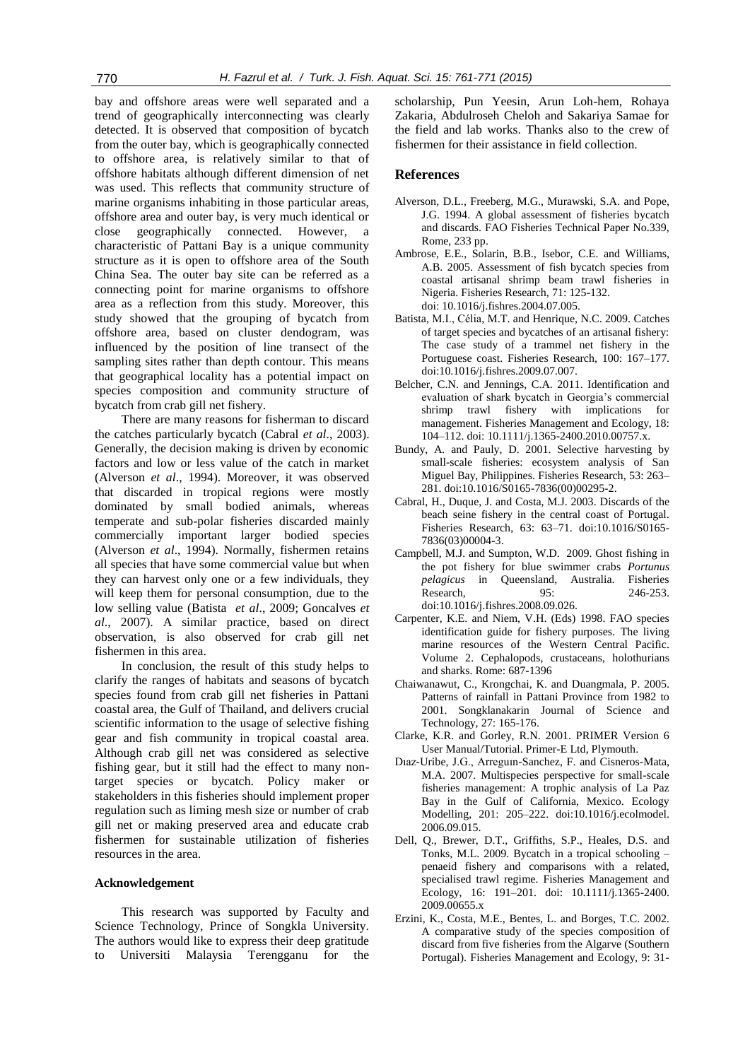bay and offshore areas were well separated and a trend of geographically interconnecting was clearly detected. It is observed that composition of bycatch from the outer bay, which is geographically connected to offshore area, is relatively similar to that of offshore habitats although different dimension of net was used. This reflects that community structure of marine organisms inhabiting in those particular areas, offshore area and outer bay, is very much identical or close geographically connected. However, a characteristic of Pattani Bay is a unique community structure as it is open to offshore area of the South China Sea. The outer bay site can be referred as a connecting point for marine organisms to offshore area as a reflection from this study. Moreover, this study showed that the grouping of bycatch from offshore area, based on cluster dendogram, was influenced by the position of line transect of the sampling sites rather than depth contour. This means that geographical locality has a potential impact on species composition and community structure of bycatch from crab gill net fishery.

There are many reasons for fisherman to discard the catches particularly bycatch (Cabral *et al*., 2003). Generally, the decision making is driven by economic factors and low or less value of the catch in market (Alverson *et al*., 1994). Moreover, it was observed that discarded in tropical regions were mostly dominated by small bodied animals, whereas temperate and sub-polar fisheries discarded mainly commercially important larger bodied species (Alverson *et al*., 1994). Normally, fishermen retains all species that have some commercial value but when they can harvest only one or a few individuals, they will keep them for personal consumption, due to the low selling value (Batista *et al*., 2009; Goncalves *et al*., 2007). A similar practice, based on direct observation, is also observed for crab gill net fishermen in this area.

In conclusion, the result of this study helps to clarify the ranges of habitats and seasons of bycatch species found from crab gill net fisheries in Pattani coastal area, the Gulf of Thailand, and delivers crucial scientific information to the usage of selective fishing gear and fish community in tropical coastal area. Although crab gill net was considered as selective fishing gear, but it still had the effect to many nontarget species or bycatch. Policy maker or stakeholders in this fisheries should implement proper regulation such as liming mesh size or number of crab gill net or making preserved area and educate crab fishermen for sustainable utilization of fisheries resources in the area.

# **Acknowledgement**

This research was supported by Faculty and Science Technology, Prince of Songkla University. The authors would like to express their deep gratitude to Universiti Malaysia Terengganu for the

scholarship, Pun Yeesin, Arun Loh-hem, Rohaya Zakaria, Abdulroseh Cheloh and Sakariya Samae for the field and lab works. Thanks also to the crew of fishermen for their assistance in field collection.

# **References**

- Alverson, D.L., Freeberg, M.G., Murawski, S.A. and Pope, J.G. 1994. A global assessment of fisheries bycatch and discards. FAO Fisheries Technical Paper No.339, Rome, 233 pp.
- Ambrose, E.E., Solarin, B.B., Isebor, C.E. and Williams, A.B. 2005. Assessment of fish bycatch species from coastal artisanal shrimp beam trawl fisheries in Nigeria. Fisheries Research, 71: 125-132. doi: 10.1016/j.fishres.2004.07.005.
- Batista, M.I., Célia, M.T. and Henrique, N.C. 2009. Catches of target species and bycatches of an artisanal fishery: The case study of a trammel net fishery in the Portuguese coast. Fisheries Research, 100: 167–177. doi:10.1016/j.fishres.2009.07.007.
- Belcher, C.N. and Jennings, C.A. 2011. Identification and evaluation of shark bycatch in Georgia's commercial shrimp trawl fishery with implications for management. Fisheries Management and Ecology, 18: 104–112. doi: 10.1111/j.1365-2400.2010.00757.x.
- Bundy, A. and Pauly, D. 2001. Selective harvesting by small-scale fisheries: ecosystem analysis of San Miguel Bay, Philippines. Fisheries Research, 53: 263– 281. doi:10.1016/S0165-7836(00)00295-2.
- Cabral, H., Duque, J. and Costa, M.J. 2003. Discards of the beach seine fishery in the central coast of Portugal. Fisheries Research, 63: 63–71. doi:10.1016/S0165- 7836(03)00004-3.
- Campbell, M.J. and Sumpton, W.D. 2009. Ghost fishing in the pot fishery for blue swimmer crabs *Portunus pelagicus* in Queensland, Australia. Fisheries Research, 95: 246-253. doi:10.1016/j.fishres.2008.09.026.
- Carpenter, K.E. and Niem, V.H. (Eds) 1998. FAO species identification guide for fishery purposes. The living marine resources of the Western Central Pacific. Volume 2. Cephalopods, crustaceans, holothurians and sharks. Rome: 687-1396
- Chaiwanawut, C., Krongchai, K. and Duangmala, P. 2005. Patterns of rainfall in Pattani Province from 1982 to 2001. Songklanakarin Journal of Science and Technology, 27: 165-176.
- Clarke, K.R. and Gorley, R.N. 2001. PRIMER Version 6 User Manual/Tutorial. Primer-E Ltd, Plymouth.
- Dıaz-Uribe, J.G., Arreguın-Sanchez, F. and Cisneros-Mata, M.A. 2007. Multispecies perspective for small-scale fisheries management: A trophic analysis of La Paz Bay in the Gulf of California, Mexico. Ecology Modelling, 201: 205–222. doi:10.1016/j.ecolmodel. 2006.09.015.
- Dell, Q., Brewer, D.T., Griffiths, S.P., Heales, D.S. and Tonks, M.L. 2009. Bycatch in a tropical schooling – penaeid fishery and comparisons with a related, specialised trawl regime. Fisheries Management and Ecology, 16: 191–201. doi: 10.1111/j.1365-2400. 2009.00655.x
- Erzini, K., Costa, M.E., Bentes, L. and Borges, T.C. 2002. A comparative study of the species composition of discard from five fisheries from the Algarve (Southern Portugal). Fisheries Management and Ecology, 9: 31-